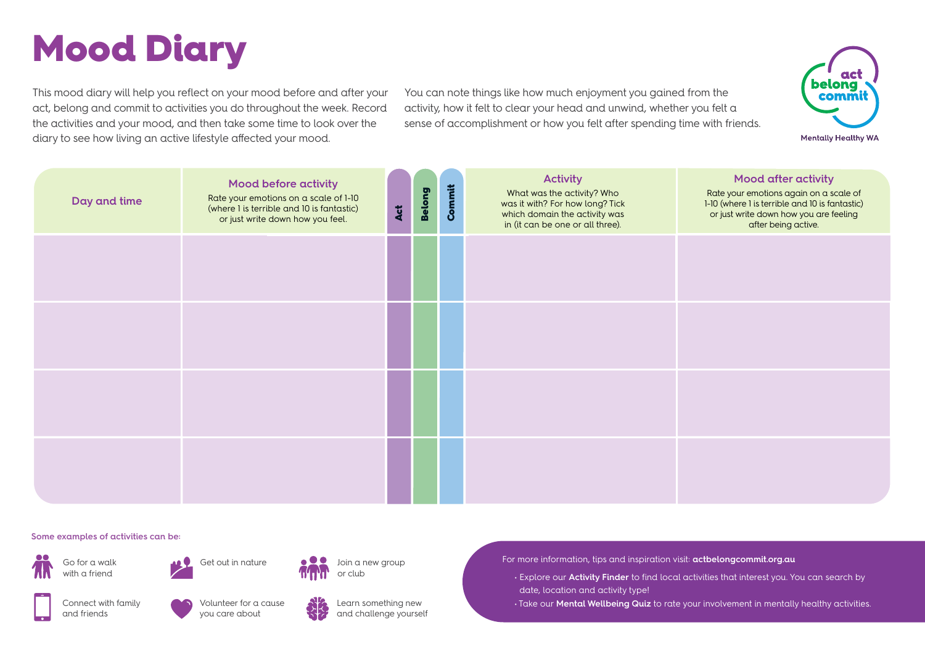## Mood Diary

This mood diary will help you reflect on your mood before and after your act, belong and commit to activities you do throughout the week. Record the activities and your mood, and then take some time to look over the diary to see how living an active lifestyle affected your mood.

You can note things like how much enjoyment you gained from the activity, how it felt to clear your head and unwind, whether you felt a sense of accomplishment or how you felt after spending time with friends.



**Mentally Healthy WA** 

| Day and time | <b>Mood before activity</b><br>Rate your emotions on a scale of 1-10<br>(where I is terrible and IO is fantastic)<br>or just write down how you feel. | Act | Belong | Commit | <b>Activity</b><br>What was the activity? Who<br>was it with? For how long? Tick<br>which domain the activity was<br>in (it can be one or all three). | <b>Mood after activity</b><br>Rate your emotions again on a scale of<br>1-10 (where 1 is terrible and 10 is fantastic)<br>or just write down how you are feeling<br>after being active. |
|--------------|-------------------------------------------------------------------------------------------------------------------------------------------------------|-----|--------|--------|-------------------------------------------------------------------------------------------------------------------------------------------------------|-----------------------------------------------------------------------------------------------------------------------------------------------------------------------------------------|
|              |                                                                                                                                                       |     |        |        |                                                                                                                                                       |                                                                                                                                                                                         |
|              |                                                                                                                                                       |     |        |        |                                                                                                                                                       |                                                                                                                                                                                         |
|              |                                                                                                                                                       |     |        |        |                                                                                                                                                       |                                                                                                                                                                                         |
|              |                                                                                                                                                       |     |        |        |                                                                                                                                                       |                                                                                                                                                                                         |

## **Some examples of activities can be:**





you care about

Get out in nature  $\qquad \qquad \bullet \qquad$  Join a new group or club



Learn something new and challenge yourself For more information, tips and inspiration visit: **actbelongcommit.org.au**

 • Explore our **Activity Finder** to find local activities that interest you. You can search by date, location and activity type!

• Take our **Mental Wellbeing Quiz** to rate your involvement in mentally healthy activities.

Connect with family and friends